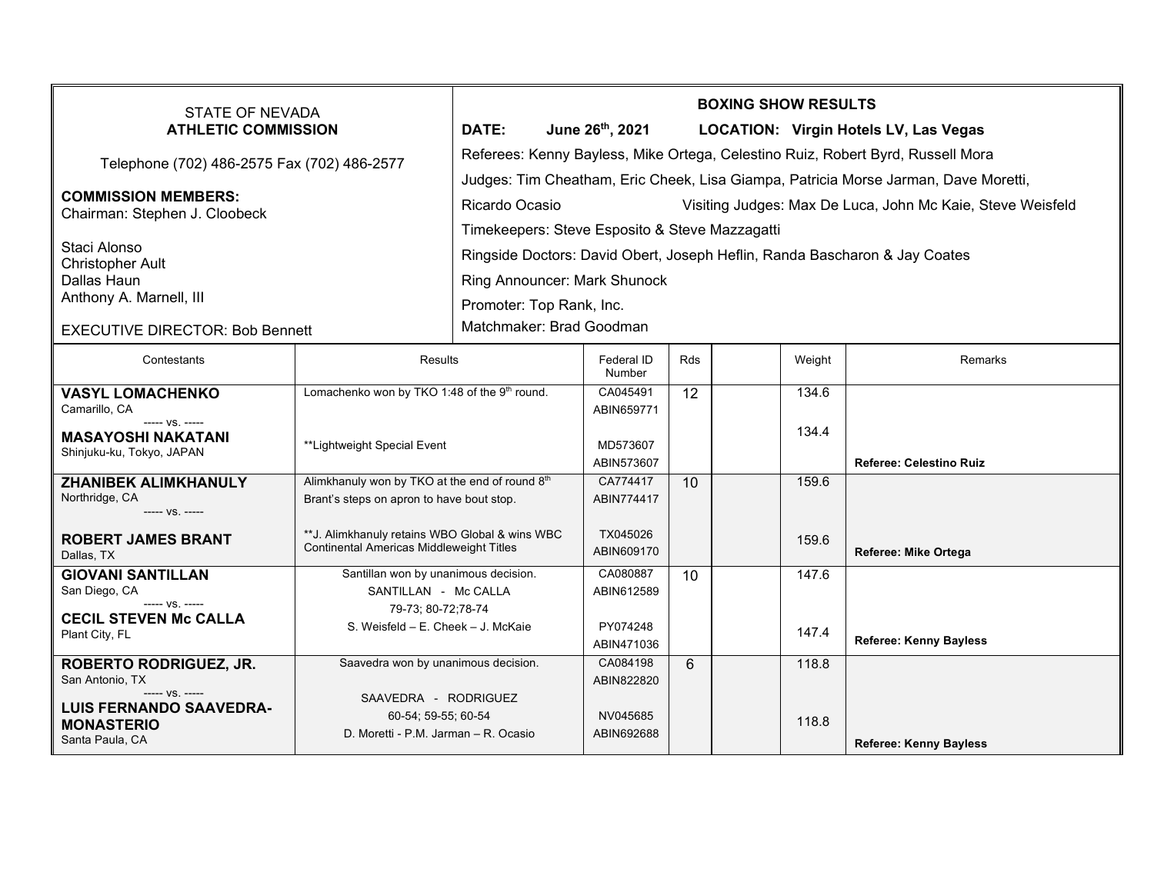| <b>STATE OF NEVADA</b><br><b>ATHLETIC COMMISSION</b>                    |                                                                                             | <b>BOXING SHOW RESULTS</b>                                                          |                        |     |  |        |                                              |  |  |
|-------------------------------------------------------------------------|---------------------------------------------------------------------------------------------|-------------------------------------------------------------------------------------|------------------------|-----|--|--------|----------------------------------------------|--|--|
|                                                                         |                                                                                             | <b>DATE:</b>                                                                        | June 26th, 2021        |     |  |        | <b>LOCATION: Virgin Hotels LV, Las Vegas</b> |  |  |
| Telephone (702) 486-2575 Fax (702) 486-2577                             |                                                                                             | Referees: Kenny Bayless, Mike Ortega, Celestino Ruiz, Robert Byrd, Russell Mora     |                        |     |  |        |                                              |  |  |
|                                                                         |                                                                                             | Judges: Tim Cheatham, Eric Cheek, Lisa Giampa, Patricia Morse Jarman, Dave Moretti, |                        |     |  |        |                                              |  |  |
| <b>COMMISSION MEMBERS:</b><br>Chairman: Stephen J. Cloobeck             |                                                                                             | Ricardo Ocasio<br>Visiting Judges: Max De Luca, John Mc Kaie, Steve Weisfeld        |                        |     |  |        |                                              |  |  |
|                                                                         |                                                                                             | Timekeepers: Steve Esposito & Steve Mazzagatti                                      |                        |     |  |        |                                              |  |  |
| Staci Alonso                                                            |                                                                                             | Ringside Doctors: David Obert, Joseph Heflin, Randa Bascharon & Jay Coates          |                        |     |  |        |                                              |  |  |
| <b>Christopher Ault</b><br>Dallas Haun                                  |                                                                                             | Ring Announcer: Mark Shunock                                                        |                        |     |  |        |                                              |  |  |
| Anthony A. Marnell, III                                                 |                                                                                             | Promoter: Top Rank, Inc.                                                            |                        |     |  |        |                                              |  |  |
| <b>EXECUTIVE DIRECTOR: Bob Bennett</b>                                  |                                                                                             | Matchmaker: Brad Goodman                                                            |                        |     |  |        |                                              |  |  |
|                                                                         |                                                                                             |                                                                                     |                        |     |  |        |                                              |  |  |
| Contestants                                                             | <b>Results</b>                                                                              |                                                                                     | Federal ID<br>Number   | Rds |  | Weight | Remarks                                      |  |  |
| <b>VASYL LOMACHENKO</b><br>Camarillo, CA                                | Lomachenko won by TKO 1:48 of the 9 <sup>th</sup> round.                                    |                                                                                     | CA045491<br>ABIN659771 | 12  |  | 134.6  |                                              |  |  |
| $--- VS. ---$<br><b>MASAYOSHI NAKATANI</b><br>Shinjuku-ku, Tokyo, JAPAN | **Lightweight Special Event                                                                 |                                                                                     | MD573607<br>ABIN573607 |     |  | 134.4  | <b>Referee: Celestino Ruiz</b>               |  |  |
| <b>ZHANIBEK ALIMKHANULY</b>                                             | Alimkhanuly won by TKO at the end of round 8th                                              |                                                                                     | CA774417               | 10  |  | 159.6  |                                              |  |  |
| Northridge, CA<br>$--- VS. ---$                                         | Brant's steps on apron to have bout stop.                                                   |                                                                                     | ABIN774417             |     |  |        |                                              |  |  |
| <b>ROBERT JAMES BRANT</b><br>Dallas, TX                                 | ** J. Alimkhanuly retains WBO Global & wins WBC<br>Continental Americas Middleweight Titles |                                                                                     | TX045026<br>ABIN609170 |     |  | 159.6  | Referee: Mike Ortega                         |  |  |
| <b>GIOVANI SANTILLAN</b>                                                | Santillan won by unanimous decision.                                                        |                                                                                     | CA080887               | 10  |  | 147.6  |                                              |  |  |
| San Diego, CA<br>$--- VS$ . $---$                                       | SANTILLAN - Mc CALLA                                                                        |                                                                                     | ABIN612589             |     |  |        |                                              |  |  |
| <b>CECIL STEVEN Mc CALLA</b><br>Plant City, FL                          | 79-73; 80-72; 78-74<br>S. Weisfeld - E. Cheek - J. McKaie                                   |                                                                                     | PY074248<br>ABIN471036 |     |  | 147.4  | <b>Referee: Kenny Bayless</b>                |  |  |
| Saavedra won by unanimous decision.<br><b>ROBERTO RODRIGUEZ, JR.</b>    |                                                                                             |                                                                                     | CA084198               | 6   |  | 118.8  |                                              |  |  |
| San Antonio, TX<br>$--- VS$ . $---$<br>SAAVEDRA - RODRIGUEZ             |                                                                                             |                                                                                     | ABIN822820             |     |  |        |                                              |  |  |
| <b>LUIS FERNANDO SAAVEDRA-</b><br>60-54; 59-55; 60-54                   |                                                                                             |                                                                                     | NV045685               |     |  | 118.8  |                                              |  |  |
| <b>MONASTERIO</b><br>Santa Paula, CA                                    | D. Moretti - P.M. Jarman - R. Ocasio                                                        |                                                                                     | ABIN692688             |     |  |        | <b>Referee: Kenny Bayless</b>                |  |  |